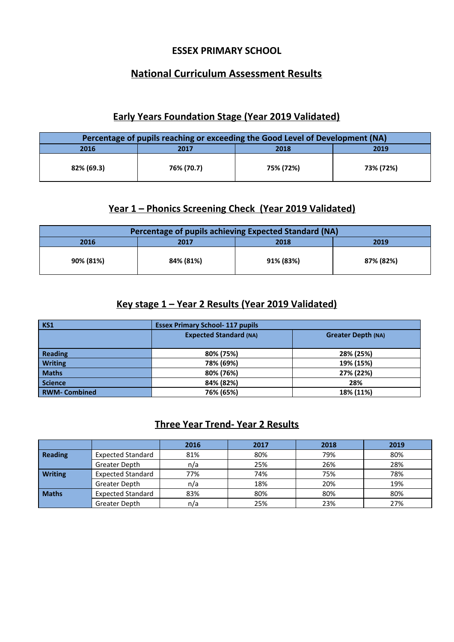#### **ESSEX PRIMARY SCHOOL**

## **National Curriculum Assessment Results**

#### **Early Years Foundation Stage (Year 2019 Validated)**

| Percentage of pupils reaching or exceeding the Good Level of Development (NA) |                      |           |           |  |  |  |  |
|-------------------------------------------------------------------------------|----------------------|-----------|-----------|--|--|--|--|
| 2016                                                                          | 2019<br>2018<br>2017 |           |           |  |  |  |  |
| 82% (69.3)                                                                    | 76% (70.7)           | 75% (72%) | 73% (72%) |  |  |  |  |

#### **Year 1 – Phonics Screening Check (Year 2019 Validated)**

| Percentage of pupils achieving Expected Standard (NA) |                      |           |           |  |  |  |  |
|-------------------------------------------------------|----------------------|-----------|-----------|--|--|--|--|
| 2016                                                  | 2019<br>2017<br>2018 |           |           |  |  |  |  |
| 90% (81%)                                             | 84% (81%)            | 91% (83%) | 87% (82%) |  |  |  |  |

#### **Key stage 1 – Year 2 Results (Year 2019 Validated)**

| <b>KS1</b>          | <b>Essex Primary School-117 pupils</b>                     |           |  |  |
|---------------------|------------------------------------------------------------|-----------|--|--|
|                     | <b>Expected Standard (NA)</b><br><b>Greater Depth (NA)</b> |           |  |  |
|                     |                                                            |           |  |  |
| <b>Reading</b>      | 80% (75%)                                                  | 28% (25%) |  |  |
| <b>Writing</b>      | 78% (69%)                                                  | 19% (15%) |  |  |
| <b>Maths</b>        | 80% (76%)                                                  | 27% (22%) |  |  |
| <b>Science</b>      | 84% (82%)                                                  | 28%       |  |  |
| <b>RWM-Combined</b> | 76% (65%)                                                  | 18% (11%) |  |  |

### **Three Year Trend- Year 2 Results**

|                |                          | 2016 | 2017 | 2018 | 2019 |
|----------------|--------------------------|------|------|------|------|
| <b>Reading</b> | <b>Expected Standard</b> | 81%  | 80%  | 79%  | 80%  |
|                | Greater Depth            | n/a  | 25%  | 26%  | 28%  |
| <b>Writing</b> | <b>Expected Standard</b> | 77%  | 74%  | 75%  | 78%  |
|                | Greater Depth            | n/a  | 18%  | 20%  | 19%  |
| <b>Maths</b>   | <b>Expected Standard</b> | 83%  | 80%  | 80%  | 80%  |
|                | Greater Depth            | n/a  | 25%  | 23%  | 27%  |